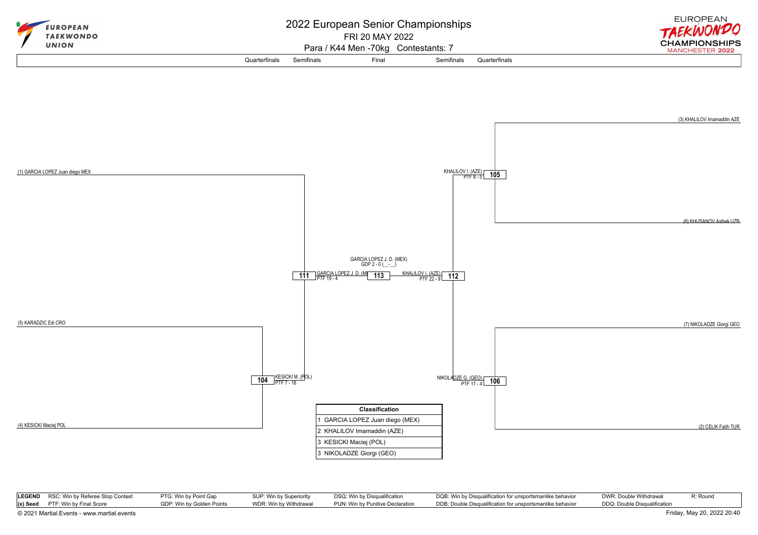

|                                            | <b>LEGEND</b> RSC: Win by Referee Stop Contest | PTG: Win by Point Gap     | SUP: Win by Superiority | DSQ: Win by Disqualification     | DQB: Win by Disqualification for unsportsmanlike behavior | DWR: Double Withdrawal       | R: Round |
|--------------------------------------------|------------------------------------------------|---------------------------|-------------------------|----------------------------------|-----------------------------------------------------------|------------------------------|----------|
|                                            | $(x)$ Seed PTF: Win by Final Score             | GDP: Win by Golden Points | WDR: Win by Withdrawal  | PUN: Win by Punitive Declaration | DDB: Double Disqualification for unsportsmanlike behavior | DDQ: Double Disqualification |          |
| © 2021 Martial.Events - www.martial.events |                                                |                           |                         |                                  |                                                           | Friday, May 20, 2022 20:40   |          |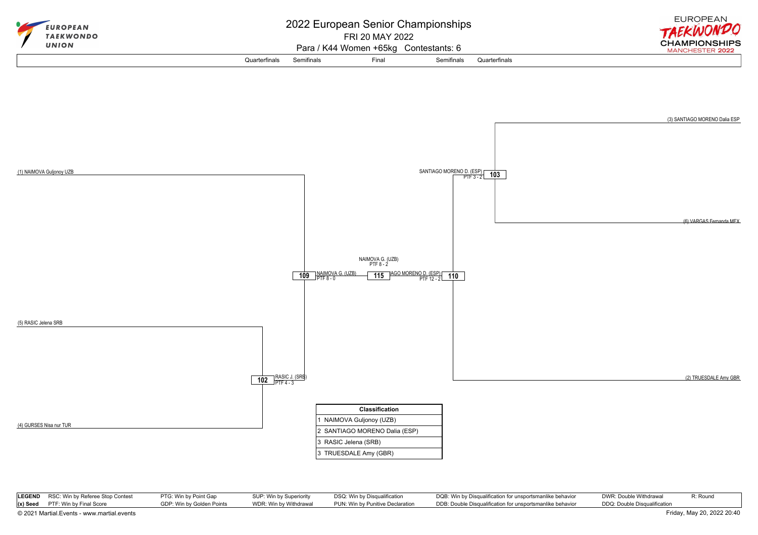

| LEGEND RSC: Win by Referee Stop Contest                                  | PTG: Win by Point Gap     | SUP: Win by Superiority | DSQ: Win by Disqualification     | DQB: Win by Disqualification for unsportsmanlike behavior | DWR: Double Withdrawal<br>R: Round |  |
|--------------------------------------------------------------------------|---------------------------|-------------------------|----------------------------------|-----------------------------------------------------------|------------------------------------|--|
| $(x)$ Seed PTF: Win by Final Score                                       | GDP: Win by Golden Points | WDR: Win by Withdrawal  | PUN: Win by Punitive Declaration | DDB: Double Disqualification for unsportsmanlike behavior | DDQ: Double Disqualification       |  |
| Friday, May 20, 2022 20:40<br>© 2021 Martial.Events - www.martial.events |                           |                         |                                  |                                                           |                                    |  |